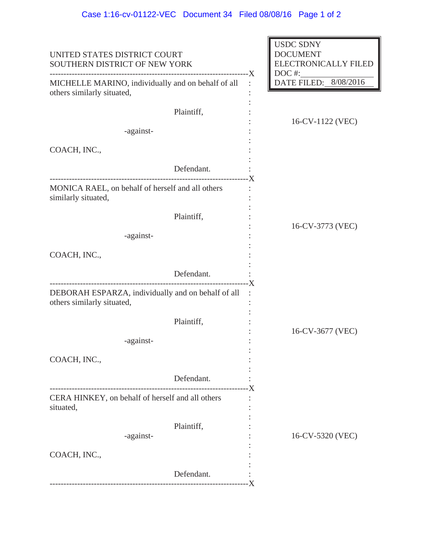| UNITED STATES DISTRICT COURT<br>SOUTHERN DISTRICT OF NEW YORK<br>MICHELLE MARINO, individually and on behalf of all<br>others similarly situated, |                               | <b>USDC SDNY</b><br><b>DOCUMENT</b><br>ELECTRONICALLY FILED<br>DOC#: |                  |
|---------------------------------------------------------------------------------------------------------------------------------------------------|-------------------------------|----------------------------------------------------------------------|------------------|
|                                                                                                                                                   |                               | DATE FILED: 8/08/2016                                                |                  |
|                                                                                                                                                   | Plaintiff,                    |                                                                      | 16-CV-1122 (VEC) |
| -against-                                                                                                                                         |                               |                                                                      |                  |
| COACH, INC.,                                                                                                                                      |                               |                                                                      |                  |
|                                                                                                                                                   | Defendant.                    |                                                                      |                  |
| MONICA RAEL, on behalf of herself and all others<br>similarly situated,                                                                           |                               |                                                                      |                  |
|                                                                                                                                                   | Plaintiff,                    |                                                                      |                  |
| -against-                                                                                                                                         |                               |                                                                      | 16-CV-3773 (VEC) |
| COACH, INC.,                                                                                                                                      |                               |                                                                      |                  |
|                                                                                                                                                   | Defendant.                    |                                                                      |                  |
| DEBORAH ESPARZA, individually and on behalf of all<br>others similarly situated,                                                                  |                               | -X                                                                   |                  |
|                                                                                                                                                   | Plaintiff,                    |                                                                      |                  |
| -against-                                                                                                                                         |                               |                                                                      | 16-CV-3677 (VEC) |
| COACH, INC.,                                                                                                                                      |                               |                                                                      |                  |
|                                                                                                                                                   | Defendant.<br>--------------- |                                                                      |                  |
| CERA HINKEY, on behalf of herself and all others<br>situated,                                                                                     |                               |                                                                      |                  |
| -against-                                                                                                                                         | Plaintiff,                    |                                                                      | 16-CV-5320 (VEC) |
| COACH, INC.,                                                                                                                                      |                               |                                                                      |                  |
|                                                                                                                                                   | Defendant.                    |                                                                      |                  |